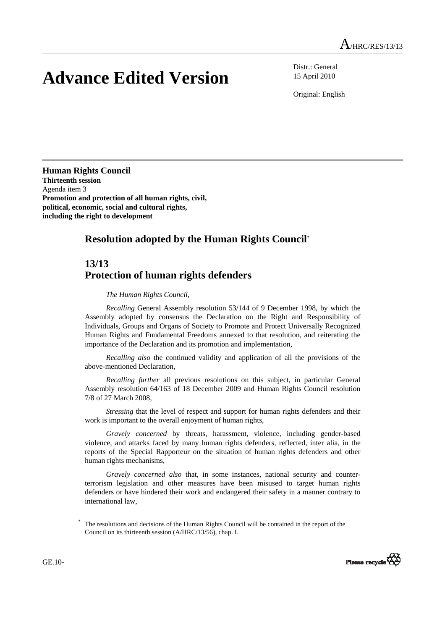## **Advance Edited Version**

Distr.: General 15 April 2010

Original: English

**Human Rights Council Thirteenth session**  Agenda item 3 **Promotion and protection of all human rights, civil, political, economic, social and cultural rights, including the right to development** 

## **Resolution adopted by the Human Rights Council**\*

## **13/13 Protection of human rights defenders**

## *The Human Rights Council*,

*Recalling* General Assembly resolution 53/144 of 9 December 1998, by which the Assembly adopted by consensus the Declaration on the Right and Responsibility of Individuals, Groups and Organs of Society to Promote and Protect Universally Recognized Human Rights and Fundamental Freedoms annexed to that resolution, and reiterating the importance of the Declaration and its promotion and implementation,

*Recalling also* the continued validity and application of all the provisions of the above-mentioned Declaration,

*Recalling further* all previous resolutions on this subject, in particular General Assembly resolution 64/163 of 18 December 2009 and Human Rights Council resolution 7/8 of 27 March 2008,

*Stressing* that the level of respect and support for human rights defenders and their work is important to the overall enjoyment of human rights,

*Gravely concerned* by threats, harassment, violence, including gender-based violence, and attacks faced by many human rights defenders, reflected, inter alia, in the reports of the Special Rapporteur on the situation of human rights defenders and other human rights mechanisms,

*Gravely concerned also* that, in some instances, national security and counterterrorism legislation and other measures have been misused to target human rights defenders or have hindered their work and endangered their safety in a manner contrary to international law,

The resolutions and decisions of the Human Rights Council will be contained in the report of the Council on its thirteenth session (A/HRC/13/56), chap. I.

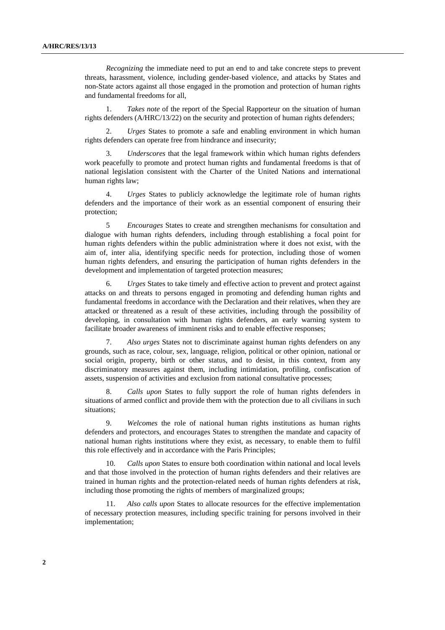*Recognizing* the immediate need to put an end to and take concrete steps to prevent threats, harassment, violence, including gender-based violence, and attacks by States and non-State actors against all those engaged in the promotion and protection of human rights and fundamental freedoms for all,

 1. *Takes note* of the report of the Special Rapporteur on the situation of human rights defenders (A/HRC/13/22) on the security and protection of human rights defenders;

 2. *Urges* States to promote a safe and enabling environment in which human rights defenders can operate free from hindrance and insecurity;

 3. *Underscores* that the legal framework within which human rights defenders work peacefully to promote and protect human rights and fundamental freedoms is that of national legislation consistent with the Charter of the United Nations and international human rights law;

 4. *Urges* States to publicly acknowledge the legitimate role of human rights defenders and the importance of their work as an essential component of ensuring their protection;

 5 *Encourages* States to create and strengthen mechanisms for consultation and dialogue with human rights defenders, including through establishing a focal point for human rights defenders within the public administration where it does not exist, with the aim of, inter alia, identifying specific needs for protection, including those of women human rights defenders, and ensuring the participation of human rights defenders in the development and implementation of targeted protection measures;

 6. *Urges* States to take timely and effective action to prevent and protect against attacks on and threats to persons engaged in promoting and defending human rights and fundamental freedoms in accordance with the Declaration and their relatives, when they are attacked or threatened as a result of these activities, including through the possibility of developing, in consultation with human rights defenders, an early warning system to facilitate broader awareness of imminent risks and to enable effective responses;

 7. *Also urges* States not to discriminate against human rights defenders on any grounds, such as race, colour, sex, language, religion, political or other opinion, national or social origin, property, birth or other status, and to desist, in this context, from any discriminatory measures against them, including intimidation, profiling, confiscation of assets, suspension of activities and exclusion from national consultative processes;

 8. *Calls upon* States to fully support the role of human rights defenders in situations of armed conflict and provide them with the protection due to all civilians in such situations;

 9. *Welcomes* the role of national human rights institutions as human rights defenders and protectors, and encourages States to strengthen the mandate and capacity of national human rights institutions where they exist, as necessary, to enable them to fulfil this role effectively and in accordance with the Paris Principles;

 10. *Calls upon* States to ensure both coordination within national and local levels and that those involved in the protection of human rights defenders and their relatives are trained in human rights and the protection-related needs of human rights defenders at risk, including those promoting the rights of members of marginalized groups;

 11. *Also calls upon* States to allocate resources for the effective implementation of necessary protection measures, including specific training for persons involved in their implementation;